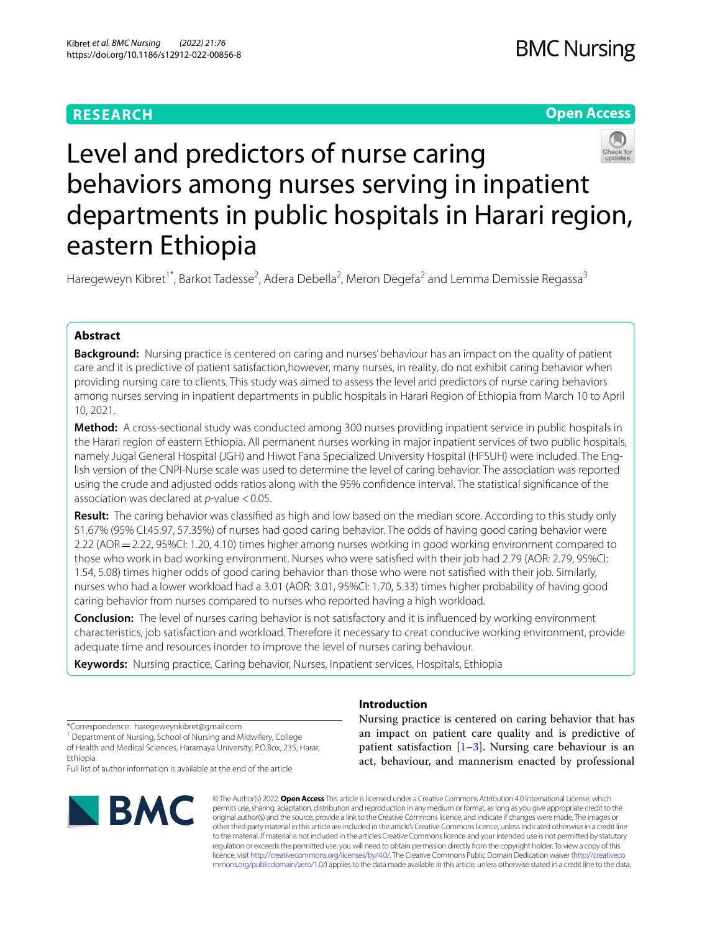# **RESEARCH**

# **Open Access**



# Level and predictors of nurse caring behaviors among nurses serving in inpatient departments in public hospitals in Harari region, eastern Ethiopia

Haregeweyn Kibret<sup>1\*</sup>, Barkot Tadesse<sup>2</sup>, Adera Debella<sup>2</sup>, Meron Degefa<sup>2</sup> and Lemma Demissie Regassa<sup>3</sup>

# **Abstract**

**Background:** Nursing practice is centered on caring and nurses' behaviour has an impact on the quality of patient care and it is predictive of patient satisfaction,however, many nurses, in reality, do not exhibit caring behavior when providing nursing care to clients. This study was aimed to assess the level and predictors of nurse caring behaviors among nurses serving in inpatient departments in public hospitals in Harari Region of Ethiopia from March 10 to April 10, 2021.

**Method:** A cross-sectional study was conducted among 300 nurses providing inpatient service in public hospitals in the Harari region of eastern Ethiopia. All permanent nurses working in major inpatient services of two public hospitals, namely Jugal General Hospital (JGH) and Hiwot Fana Specialized University Hospital (HFSUH) were included. The English version of the CNPI-Nurse scale was used to determine the level of caring behavior. The association was reported using the crude and adjusted odds ratios along with the 95% confdence interval. The statistical signifcance of the association was declared at *p*-value <0.05.

**Result:** The caring behavior was classifed as high and low based on the median score. According to this study only 51.67% (95% CI:45.97, 57.35%) of nurses had good caring behavior. The odds of having good caring behavior were 2.22 (AOR=2.22, 95%CI: 1.20, 4.10) times higher among nurses working in good working environment compared to those who work in bad working environment. Nurses who were satisfed with their job had 2.79 (AOR: 2.79, 95%CI: 1.54, 5.08) times higher odds of good caring behavior than those who were not satisfed with their job. Similarly, nurses who had a lower workload had a 3.01 (AOR: 3.01, 95%CI: 1.70, 5.33) times higher probability of having good caring behavior from nurses compared to nurses who reported having a high workload.

**Conclusion:** The level of nurses caring behavior is not satisfactory and it is infuenced by working environment characteristics, job satisfaction and workload. Therefore it necessary to creat conducive working environment, provide adequate time and resources inorder to improve the level of nurses caring behaviour.

**Keywords:** Nursing practice, Caring behavior, Nurses, Inpatient services, Hospitals, Ethiopia

\*Correspondence: haregeweynkibret@gmail.com

<sup>1</sup> Department of Nursing, School of Nursing and Midwifery, College of Health and Medical Sciences, Haramaya University, P.O.Box, 235, Harar, Ethiopia

Full list of author information is available at the end of the article



# Nursing practice is centered on caring behavior that has

**Introduction**

an impact on patient care quality and is predictive of patient satisfaction  $[1-3]$  $[1-3]$  $[1-3]$ . Nursing care behaviour is an act, behaviour, and mannerism enacted by professional

© The Author(s) 2022. **Open Access** This article is licensed under a Creative Commons Attribution 4.0 International License, which permits use, sharing, adaptation, distribution and reproduction in any medium or format, as long as you give appropriate credit to the original author(s) and the source, provide a link to the Creative Commons licence, and indicate if changes were made. The images or other third party material in this article are included in the article's Creative Commons licence, unless indicated otherwise in a credit line to the material. If material is not included in the article's Creative Commons licence and your intended use is not permitted by statutory regulation or exceeds the permitted use, you will need to obtain permission directly from the copyright holder. To view a copy of this licence, visit [http://creativecommons.org/licenses/by/4.0/.](http://creativecommons.org/licenses/by/4.0/) The Creative Commons Public Domain Dedication waiver ([http://creativeco](http://creativecommons.org/publicdomain/zero/1.0/) [mmons.org/publicdomain/zero/1.0/](http://creativecommons.org/publicdomain/zero/1.0/)) applies to the data made available in this article, unless otherwise stated in a credit line to the data.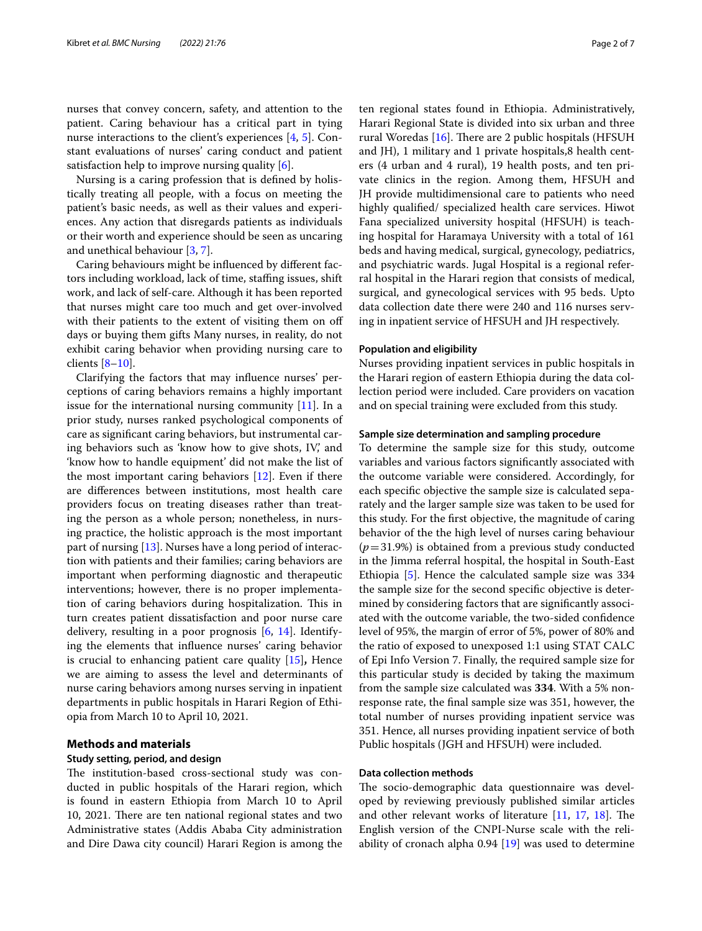nurses that convey concern, safety, and attention to the patient. Caring behaviour has a critical part in tying nurse interactions to the client's experiences [\[4](#page-6-2), [5](#page-6-3)]. Constant evaluations of nurses' caring conduct and patient satisfaction help to improve nursing quality [[6\]](#page-6-4).

Nursing is a caring profession that is defned by holistically treating all people, with a focus on meeting the patient's basic needs, as well as their values and experiences. Any action that disregards patients as individuals or their worth and experience should be seen as uncaring and unethical behaviour [[3,](#page-6-1) [7](#page-6-5)].

Caring behaviours might be infuenced by diferent factors including workload, lack of time, staffing issues, shift work, and lack of self-care. Although it has been reported that nurses might care too much and get over-involved with their patients to the extent of visiting them on off days or buying them gifts Many nurses, in reality, do not exhibit caring behavior when providing nursing care to clients [[8–](#page-6-6)[10](#page-6-7)].

Clarifying the factors that may infuence nurses' perceptions of caring behaviors remains a highly important issue for the international nursing community  $[11]$  $[11]$ . In a prior study, nurses ranked psychological components of care as signifcant caring behaviors, but instrumental caring behaviors such as 'know how to give shots, IV', and 'know how to handle equipment' did not make the list of the most important caring behaviors [[12\]](#page-6-9). Even if there are diferences between institutions, most health care providers focus on treating diseases rather than treating the person as a whole person; nonetheless, in nursing practice, the holistic approach is the most important part of nursing [[13\]](#page-6-10). Nurses have a long period of interaction with patients and their families; caring behaviors are important when performing diagnostic and therapeutic interventions; however, there is no proper implementation of caring behaviors during hospitalization. This in turn creates patient dissatisfaction and poor nurse care delivery, resulting in a poor prognosis [[6,](#page-6-4) [14\]](#page-6-11). Identifying the elements that infuence nurses' caring behavior is crucial to enhancing patient care quality [\[15\]](#page-6-12)**,** Hence we are aiming to assess the level and determinants of nurse caring behaviors among nurses serving in inpatient departments in public hospitals in Harari Region of Ethiopia from March 10 to April 10, 2021.

# **Methods and materials**

# **Study setting, period, and design**

The institution-based cross-sectional study was conducted in public hospitals of the Harari region, which is found in eastern Ethiopia from March 10 to April 10, 2021. There are ten national regional states and two Administrative states (Addis Ababa City administration and Dire Dawa city council) Harari Region is among the ten regional states found in Ethiopia. Administratively, Harari Regional State is divided into six urban and three rural Woredas  $[16]$  $[16]$ . There are 2 public hospitals (HFSUH and JH), 1 military and 1 private hospitals,8 health centers (4 urban and 4 rural), 19 health posts, and ten private clinics in the region. Among them, HFSUH and JH provide multidimensional care to patients who need highly qualifed/ specialized health care services. Hiwot Fana specialized university hospital (HFSUH) is teaching hospital for Haramaya University with a total of 161 beds and having medical, surgical, gynecology, pediatrics, and psychiatric wards. Jugal Hospital is a regional referral hospital in the Harari region that consists of medical,

# **Population and eligibility**

Nurses providing inpatient services in public hospitals in the Harari region of eastern Ethiopia during the data collection period were included. Care providers on vacation and on special training were excluded from this study.

surgical, and gynecological services with 95 beds. Upto data collection date there were 240 and 116 nurses serving in inpatient service of HFSUH and JH respectively.

# **Sample size determination and sampling procedure**

To determine the sample size for this study, outcome variables and various factors signifcantly associated with the outcome variable were considered. Accordingly, for each specifc objective the sample size is calculated separately and the larger sample size was taken to be used for this study. For the frst objective, the magnitude of caring behavior of the the high level of nurses caring behaviour (*p*=31.9%) is obtained from a previous study conducted in the Jimma referral hospital, the hospital in South-East Ethiopia [[5\]](#page-6-3). Hence the calculated sample size was 334 the sample size for the second specifc objective is determined by considering factors that are signifcantly associated with the outcome variable, the two-sided confdence level of 95%, the margin of error of 5%, power of 80% and the ratio of exposed to unexposed 1:1 using STAT CALC of Epi Info Version 7. Finally, the required sample size for this particular study is decided by taking the maximum from the sample size calculated was **334**. With a 5% nonresponse rate, the fnal sample size was 351, however, the total number of nurses providing inpatient service was 351. Hence, all nurses providing inpatient service of both Public hospitals (JGH and HFSUH) were included.

# **Data collection methods**

The socio-demographic data questionnaire was developed by reviewing previously published similar articles and other relevant works of literature  $[11, 17, 18]$  $[11, 17, 18]$  $[11, 17, 18]$  $[11, 17, 18]$  $[11, 17, 18]$  $[11, 17, 18]$ . The English version of the CNPI-Nurse scale with the reliability of cronach alpha 0.94 [\[19](#page-6-16)] was used to determine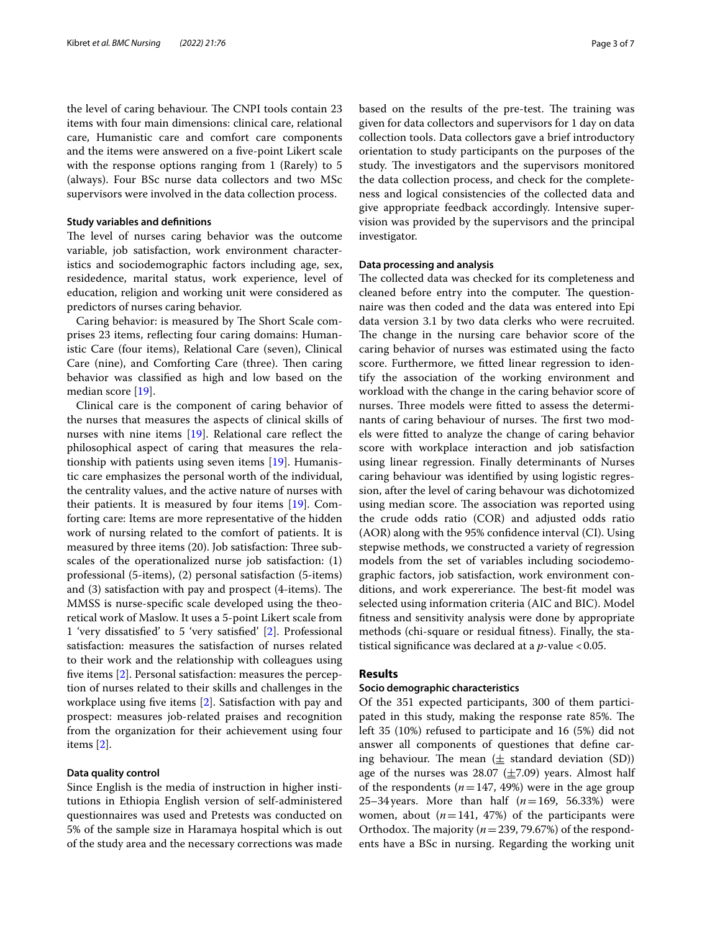the level of caring behaviour. The CNPI tools contain 23 items with four main dimensions: clinical care, relational care, Humanistic care and comfort care components and the items were answered on a fve-point Likert scale with the response options ranging from 1 (Rarely) to 5 (always). Four BSc nurse data collectors and two MSc supervisors were involved in the data collection process.

# **Study variables and defnitions**

The level of nurses caring behavior was the outcome variable, job satisfaction, work environment characteristics and sociodemographic factors including age, sex, residedence, marital status, work experience, level of education, religion and working unit were considered as predictors of nurses caring behavior.

Caring behavior: is measured by The Short Scale comprises 23 items, refecting four caring domains: Humanistic Care (four items), Relational Care (seven), Clinical Care (nine), and Comforting Care (three). Then caring behavior was classifed as high and low based on the median score [[19\]](#page-6-16).

Clinical care is the component of caring behavior of the nurses that measures the aspects of clinical skills of nurses with nine items [[19\]](#page-6-16). Relational care reflect the philosophical aspect of caring that measures the relationship with patients using seven items [\[19\]](#page-6-16). Humanistic care emphasizes the personal worth of the individual, the centrality values, and the active nature of nurses with their patients. It is measured by four items [[19](#page-6-16)]. Comforting care: Items are more representative of the hidden work of nursing related to the comfort of patients. It is measured by three items (20). Job satisfaction: Three subscales of the operationalized nurse job satisfaction: (1) professional (5-items), (2) personal satisfaction (5-items) and  $(3)$  satisfaction with pay and prospect  $(4\text{-items})$ . The MMSS is nurse-specifc scale developed using the theoretical work of Maslow. It uses a 5-point Likert scale from 1 'very dissatisfed' to 5 'very satisfed' [[2\]](#page-6-17). Professional satisfaction: measures the satisfaction of nurses related to their work and the relationship with colleagues using fve items [[2](#page-6-17)]. Personal satisfaction: measures the perception of nurses related to their skills and challenges in the workplace using fve items [[2\]](#page-6-17). Satisfaction with pay and prospect: measures job-related praises and recognition from the organization for their achievement using four items [\[2](#page-6-17)].

# **Data quality control**

Since English is the media of instruction in higher institutions in Ethiopia English version of self-administered questionnaires was used and Pretests was conducted on 5% of the sample size in Haramaya hospital which is out of the study area and the necessary corrections was made based on the results of the pre-test. The training was given for data collectors and supervisors for 1 day on data collection tools. Data collectors gave a brief introductory orientation to study participants on the purposes of the study. The investigators and the supervisors monitored the data collection process, and check for the completeness and logical consistencies of the collected data and give appropriate feedback accordingly. Intensive supervision was provided by the supervisors and the principal investigator.

# **Data processing and analysis**

The collected data was checked for its completeness and cleaned before entry into the computer. The questionnaire was then coded and the data was entered into Epi data version 3.1 by two data clerks who were recruited. The change in the nursing care behavior score of the caring behavior of nurses was estimated using the facto score. Furthermore, we ftted linear regression to identify the association of the working environment and workload with the change in the caring behavior score of nurses. Three models were fitted to assess the determinants of caring behaviour of nurses. The first two models were ftted to analyze the change of caring behavior score with workplace interaction and job satisfaction using linear regression. Finally determinants of Nurses caring behaviour was identifed by using logistic regression, after the level of caring behavour was dichotomized using median score. The association was reported using the crude odds ratio (COR) and adjusted odds ratio (AOR) along with the 95% confdence interval (CI). Using stepwise methods, we constructed a variety of regression models from the set of variables including sociodemographic factors, job satisfaction, work environment conditions, and work expereriance. The best-fit model was selected using information criteria (AIC and BIC). Model ftness and sensitivity analysis were done by appropriate methods (chi-square or residual ftness). Finally, the statistical significance was declared at a  $p$ -value <0.05.

# **Results**

# **Socio demographic characteristics**

Of the 351 expected participants, 300 of them participated in this study, making the response rate 85%. The left 35 (10%) refused to participate and 16 (5%) did not answer all components of questiones that defne caring behaviour. The mean  $(\pm$  standard deviation (SD)) age of the nurses was 28.07 ( $\pm$ 7.09) years. Almost half of the respondents  $(n=147, 49%)$  were in the age group 25–34years. More than half (*n*=169, 56.33%) were women, about  $(n=141, 47%)$  of the participants were Orthodox. The majority  $(n=239, 79.67%)$  of the respondents have a BSc in nursing. Regarding the working unit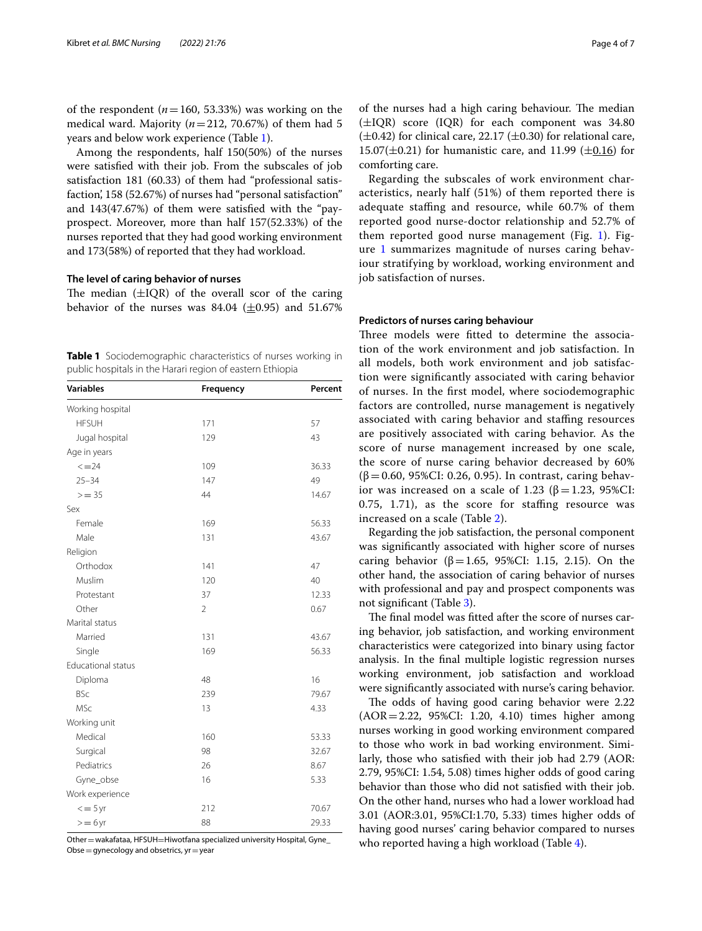of the respondent  $(n=160, 53.33%)$  was working on the medical ward. Majority  $(n=212, 70.67%)$  of them had 5 years and below work experience (Table [1](#page-3-0)).

Among the respondents, half 150(50%) of the nurses were satisfed with their job. From the subscales of job satisfaction 181 (60.33) of them had "professional satisfaction', 158 (52.67%) of nurses had "personal satisfaction" and 143(47.67%) of them were satisfed with the "payprospect. Moreover, more than half 157(52.33%) of the nurses reported that they had good working environment and 173(58%) of reported that they had workload.

# **The level of caring behavior of nurses**

The median  $(\pm IQR)$  of the overall scor of the caring behavior of the nurses was 84.04 ( $\pm$ 0.95) and 51.67%

<span id="page-3-0"></span>**Table 1** Sociodemographic characteristics of nurses working in public hospitals in the Harari region of eastern Ethiopia

| <b>Variables</b>          | Frequency      | Percent |
|---------------------------|----------------|---------|
| Working hospital          |                |         |
| <b>HFSUH</b>              | 171            | 57      |
| Jugal hospital            | 129            | 43      |
| Age in years              |                |         |
| $\leq$ = 24               | 109            | 36.33   |
| $25 - 34$                 | 147            | 49      |
| $>= 35$                   | 44             | 14.67   |
| Sex                       |                |         |
| Female                    | 169            | 56.33   |
| Male                      | 131            | 43.67   |
| Religion                  |                |         |
| Orthodox                  | 141            | 47      |
| Muslim                    | 120            | 40      |
| Protestant                | 37             | 12.33   |
| Other                     | $\overline{2}$ | 0.67    |
| Marital status            |                |         |
| Married                   | 131            | 43.67   |
| Single                    | 169            | 56.33   |
| <b>Educational status</b> |                |         |
| Diploma                   | 48             | 16      |
| <b>BSc</b>                | 239            | 79.67   |
| MSc                       | 13             | 4.33    |
| Working unit              |                |         |
| Medical                   | 160            | 53.33   |
| Surgical                  | 98             | 32.67   |
| Pediatrics                | 26             | 8.67    |
| Gyne_obse                 | 16             | 5.33    |
| Work experience           |                |         |
| $\epsilon = 5$ yr         | 212            | 70.67   |
| $= 6$ yr                  | 88             | 29.33   |

Other = wakafataa, HFSUH=Hiwotfana specialized university Hospital, Gyne\_ Obse  $=$  gynecology and obsetrics,  $yr = year$ 

of the nurses had a high caring behaviour. The median (±IQR) score (IQR) for each component was 34.80  $(\pm 0.42)$  for clinical care, 22.17  $(\pm 0.30)$  for relational care, 15.07( $\pm$ 0.21) for humanistic care, and 11.99 ( $\pm$ 0.16) for comforting care.

Regarding the subscales of work environment characteristics, nearly half (51%) of them reported there is adequate stafng and resource, while 60.7% of them reported good nurse-doctor relationship and 52.7% of them reported good nurse management (Fig.  $1$ ). Figure [1](#page-4-0) summarizes magnitude of nurses caring behaviour stratifying by workload, working environment and job satisfaction of nurses.

# **Predictors of nurses caring behaviour**

Three models were fitted to determine the association of the work environment and job satisfaction. In all models, both work environment and job satisfaction were signifcantly associated with caring behavior of nurses. In the frst model, where sociodemographic factors are controlled, nurse management is negatively associated with caring behavior and staffing resources are positively associated with caring behavior. As the score of nurse management increased by one scale, the score of nurse caring behavior decreased by 60%  $(β=0.60, 95%CI: 0.26, 0.95)$ . In contrast, caring behavior was increased on a scale of 1.23 (β = 1.23, 95%CI: 0.75, 1.71), as the score for staffing resource was increased on a scale (Table [2\)](#page-4-1).

Regarding the job satisfaction, the personal component was signifcantly associated with higher score of nurses caring behavior (β=1.65, 95%CI: 1.15, 2.15). On the other hand, the association of caring behavior of nurses with professional and pay and prospect components was not signifcant (Table [3](#page-4-2)).

The final model was fitted after the score of nurses caring behavior, job satisfaction, and working environment characteristics were categorized into binary using factor analysis. In the fnal multiple logistic regression nurses working environment, job satisfaction and workload were signifcantly associated with nurse's caring behavior.

The odds of having good caring behavior were 2.22 (AOR=2.22, 95%CI: 1.20, 4.10) times higher among nurses working in good working environment compared to those who work in bad working environment. Similarly, those who satisfed with their job had 2.79 (AOR: 2.79, 95%CI: 1.54, 5.08) times higher odds of good caring behavior than those who did not satisfed with their job. On the other hand, nurses who had a lower workload had 3.01 (AOR:3.01, 95%CI:1.70, 5.33) times higher odds of having good nurses' caring behavior compared to nurses who reported having a high workload (Table [4\)](#page-5-0).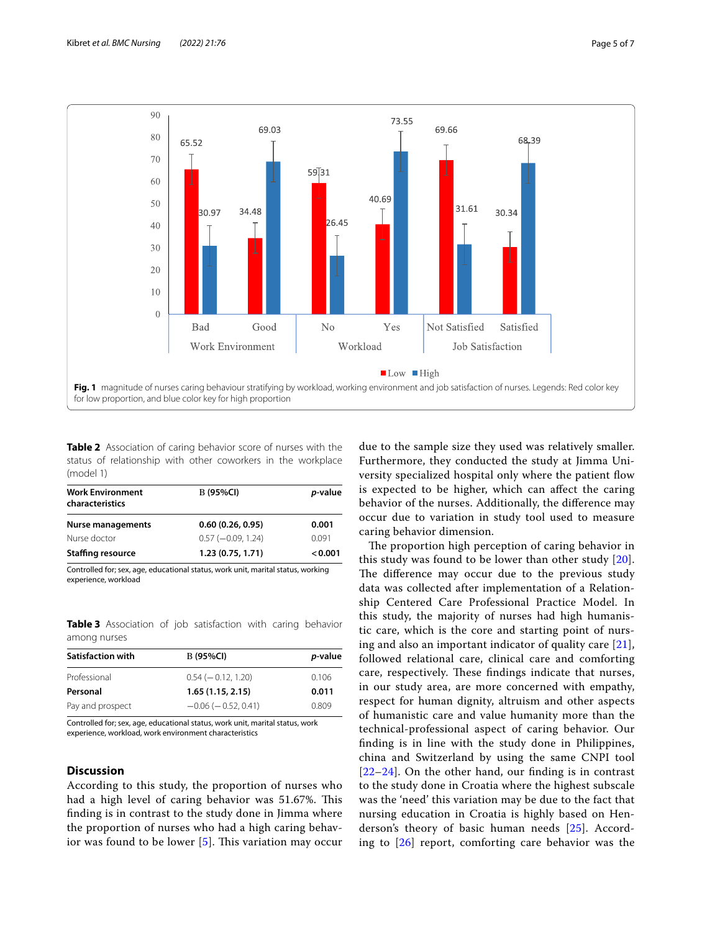

<span id="page-4-1"></span><span id="page-4-0"></span>**Table 2** Association of caring behavior score of nurses with the status of relationship with other coworkers in the workplace (model 1)

| <b>Work Environment</b><br>characteristics | <b>B</b> (95%CI)     | p-value |
|--------------------------------------------|----------------------|---------|
| Nurse managements                          | 0.60(0.26, 0.95)     | 0.001   |
| Nurse doctor                               | $0.57 (-0.09, 1.24)$ | 0.091   |
| <b>Staffing resource</b>                   | 1.23(0.75, 1.71)     | < 0.001 |

Controlled for; sex, age, educational status, work unit, marital status, working experience, workload

<span id="page-4-2"></span>**Table 3** Association of job satisfaction with caring behavior among nurses

| <b>B</b> (95%CI)          | <i>p</i> -value |
|---------------------------|-----------------|
| $0.54 (-0.12, 1.20)$      | 0.106           |
| 1.65(1.15, 2.15)          | 0.011           |
| $-0.06$ ( $-0.52$ , 0.41) | 0.809           |
|                           |                 |

Controlled for; sex, age, educational status, work unit, marital status, work experience, workload, work environment characteristics

# **Discussion**

According to this study, the proportion of nurses who had a high level of caring behavior was 51.67%. This fnding is in contrast to the study done in Jimma where the proportion of nurses who had a high caring behavior was found to be lower  $[5]$  $[5]$ . This variation may occur due to the sample size they used was relatively smaller. Furthermore, they conducted the study at Jimma University specialized hospital only where the patient fow is expected to be higher, which can afect the caring behavior of the nurses. Additionally, the diference may occur due to variation in study tool used to measure caring behavior dimension.

The proportion high perception of caring behavior in this study was found to be lower than other study  $[20]$  $[20]$  $[20]$ . The difference may occur due to the previous study data was collected after implementation of a Relationship Centered Care Professional Practice Model. In this study, the majority of nurses had high humanistic care, which is the core and starting point of nursing and also an important indicator of quality care  $[21]$  $[21]$  $[21]$ , followed relational care, clinical care and comforting care, respectively. These findings indicate that nurses, in our study area, are more concerned with empathy, respect for human dignity, altruism and other aspects of humanistic care and value humanity more than the technical-professional aspect of caring behavior. Our fnding is in line with the study done in Philippines, china and Switzerland by using the same CNPI tool  $[22-24]$  $[22-24]$  $[22-24]$ . On the other hand, our finding is in contrast to the study done in Croatia where the highest subscale was the 'need' this variation may be due to the fact that nursing education in Croatia is highly based on Henderson's theory of basic human needs [[25\]](#page-6-22). According to [[26\]](#page-6-23) report, comforting care behavior was the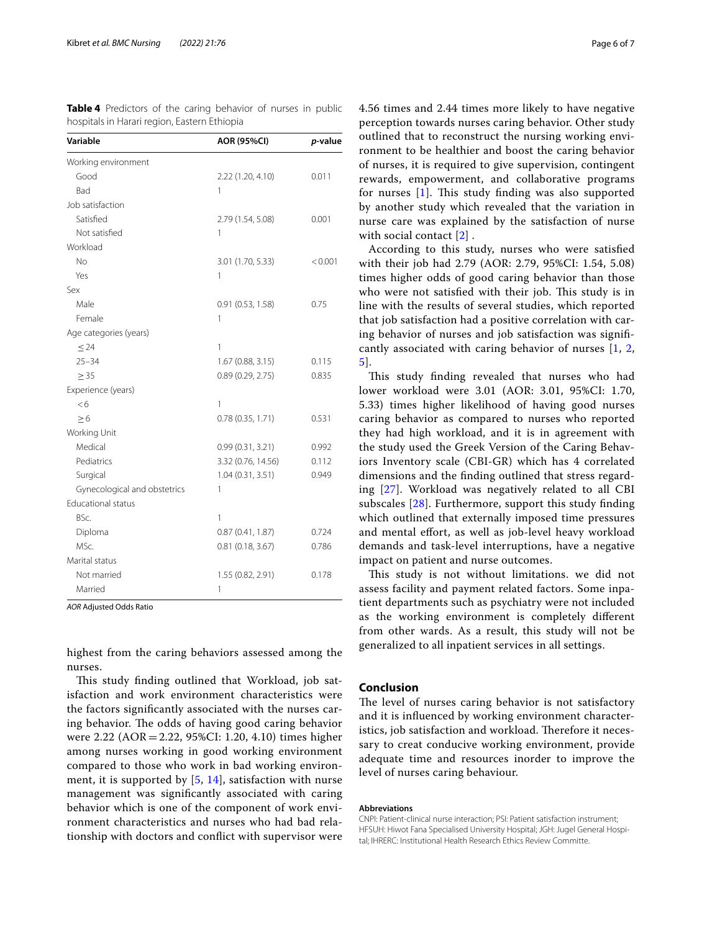| Variable                     | <b>AOR (95%CI)</b> | p-value |
|------------------------------|--------------------|---------|
| Working environment          |                    |         |
| Good                         | 2.22 (1.20, 4.10)  | 0.011   |
| Bad                          | 1                  |         |
| Job satisfaction             |                    |         |
| Satisfied                    | 2.79 (1.54, 5.08)  | 0.001   |
| Not satisfied                | 1                  |         |
| Workload                     |                    |         |
| No                           | 3.01 (1.70, 5.33)  | < 0.001 |
| Yes                          | 1                  |         |
| Sex                          |                    |         |
| Male                         | 0.91(0.53, 1.58)   | 0.75    |
| Female                       | 1                  |         |
| Age categories (years)       |                    |         |
| $\leq$ 24                    | 1                  |         |
| $25 - 34$                    | 1.67(0.88, 3.15)   | 0.115   |
| $\geq$ 35                    | 0.89(0.29, 2.75)   | 0.835   |
| Experience (years)           |                    |         |
| <6                           | 1                  |         |
| $\geq 6$                     | 0.78(0.35, 1.71)   | 0.531   |
| Working Unit                 |                    |         |
| Medical                      | 0.99(0.31, 3.21)   | 0.992   |
| Pediatrics                   | 3.32 (0.76, 14.56) | 0.112   |
| Surgical                     | 1.04(0.31, 3.51)   | 0.949   |
| Gynecological and obstetrics | 1                  |         |
| <b>Educational status</b>    |                    |         |
| BSc.                         | 1                  |         |
| Diploma                      | 0.87(0.41, 1.87)   | 0.724   |
| MSc.                         | 0.81(0.18, 3.67)   | 0.786   |
| Marital status               |                    |         |
| Not married                  | 1.55 (0.82, 2.91)  | 0.178   |
| Married                      | 1                  |         |

*AOR* Adjusted Odds Ratio

highest from the caring behaviors assessed among the nurses.

This study finding outlined that Workload, job satisfaction and work environment characteristics were the factors signifcantly associated with the nurses caring behavior. The odds of having good caring behavior were 2.22 (AOR=2.22, 95%CI: 1.20, 4.10) times higher among nurses working in good working environment compared to those who work in bad working environment, it is supported by [\[5](#page-6-3), [14\]](#page-6-11), satisfaction with nurse management was signifcantly associated with caring behavior which is one of the component of work environment characteristics and nurses who had bad relationship with doctors and confict with supervisor were

4.56 times and 2.44 times more likely to have negative perception towards nurses caring behavior. Other study outlined that to reconstruct the nursing working environment to be healthier and boost the caring behavior of nurses, it is required to give supervision, contingent rewards, empowerment, and collaborative programs for nurses  $[1]$  $[1]$ . This study finding was also supported by another study which revealed that the variation in nurse care was explained by the satisfaction of nurse with social contact [[2\]](#page-6-17).

According to this study, nurses who were satisfed with their job had 2.79 (AOR: 2.79, 95%CI: 1.54, 5.08) times higher odds of good caring behavior than those who were not satisfied with their job. This study is in line with the results of several studies, which reported that job satisfaction had a positive correlation with caring behavior of nurses and job satisfaction was signifcantly associated with caring behavior of nurses [\[1](#page-6-0), [2](#page-6-17), [5\]](#page-6-3).

This study finding revealed that nurses who had lower workload were 3.01 (AOR: 3.01, 95%CI: 1.70, 5.33) times higher likelihood of having good nurses caring behavior as compared to nurses who reported they had high workload, and it is in agreement with the study used the Greek Version of the Caring Behaviors Inventory scale (CBI-GR) which has 4 correlated dimensions and the fnding outlined that stress regarding [[27](#page-6-24)]. Workload was negatively related to all CBI subscales [\[28](#page-6-25)]. Furthermore, support this study fnding which outlined that externally imposed time pressures and mental effort, as well as job-level heavy workload demands and task-level interruptions, have a negative impact on patient and nurse outcomes.

This study is not without limitations. we did not assess facility and payment related factors. Some inpatient departments such as psychiatry were not included as the working environment is completely diferent from other wards. As a result, this study will not be generalized to all inpatient services in all settings.

# **Conclusion**

The level of nurses caring behavior is not satisfactory and it is infuenced by working environment characteristics, job satisfaction and workload. Therefore it necessary to creat conducive working environment, provide adequate time and resources inorder to improve the level of nurses caring behaviour.

## **Abbreviations**

CNPI: Patient-clinical nurse interaction; PSI: Patient satisfaction instrument; HFSUH: Hiwot Fana Specialised University Hospital; JGH: Jugel General Hospital; IHRERC: Institutional Health Research Ethics Review Committe.

<span id="page-5-0"></span>**Table 4** Predictors of the caring behavior of nurses in public hospitals in Harari region, Eastern Ethiopia